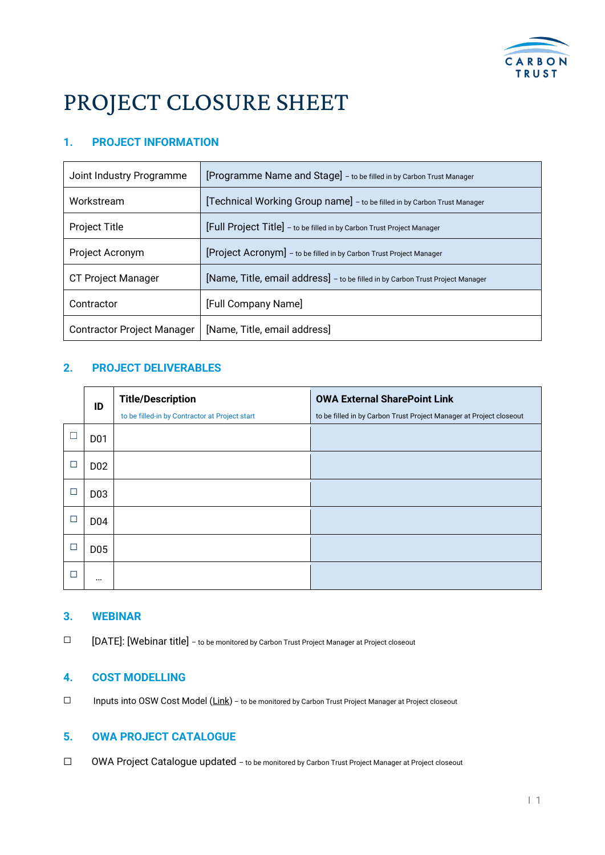

# PROJECT CLOSURE SHEET

# **1. PROJECT INFORMATION**

| Joint Industry Programme          | [Programme Name and Stage] - to be filled in by Carbon Trust Manager           |  |
|-----------------------------------|--------------------------------------------------------------------------------|--|
| Workstream                        | [Technical Working Group name] - to be filled in by Carbon Trust Manager       |  |
| <b>Project Title</b>              | [Full Project Title] - to be filled in by Carbon Trust Project Manager         |  |
| Project Acronym                   | [Project Acronym] - to be filled in by Carbon Trust Project Manager            |  |
| <b>CT Project Manager</b>         | [Name, Title, email address] - to be filled in by Carbon Trust Project Manager |  |
| Contractor                        | [Full Company Name]                                                            |  |
| <b>Contractor Project Manager</b> | [Name, Title, email address]                                                   |  |

## **2. PROJECT DELIVERABLES**

|   | ID              | <b>Title/Description</b>                       | <b>OWA External SharePoint Link</b>                                 |
|---|-----------------|------------------------------------------------|---------------------------------------------------------------------|
|   |                 | to be filled-in by Contractor at Project start | to be filled in by Carbon Trust Project Manager at Project closeout |
|   | D <sub>01</sub> |                                                |                                                                     |
| □ | D <sub>02</sub> |                                                |                                                                     |
| ⊏ | D <sub>03</sub> |                                                |                                                                     |
| □ | D04             |                                                |                                                                     |
| □ | D <sub>05</sub> |                                                |                                                                     |
| г | $\cdots$        |                                                |                                                                     |

#### **3. WEBINAR**

☐ [DATE]: [Webinar title] – to be monitored by Carbon Trust Project Manager at Project closeout

#### **4. COST MODELLING**

□ Inputs into OSW Cost Model [\(Link\)](https://carbontrust.sharepoint.com/sites/OSWInt/Projects/Cost%20Model/3.%20Input%20Data/OWA%20Cost%20Model%20Inputs%20Sheet%20v2.xlsx?web=1) – to be monitored by Carbon Trust Project Manager at Project closeout

## **5. OWA PROJECT CATALOGUE**

☐ OWA Project Catalogue updated – to be monitored by Carbon Trust Project Manager at Project closeout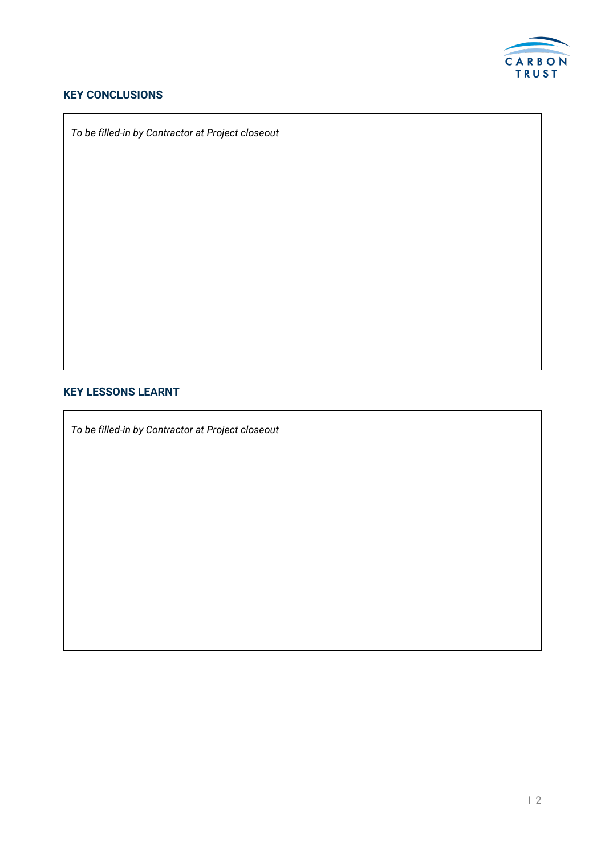

# **KEY CONCLUSIONS**

*To be filled-in by Contractor at Project closeout*

#### **KEY LESSONS LEARNT**

*To be filled-in by Contractor at Project closeout*